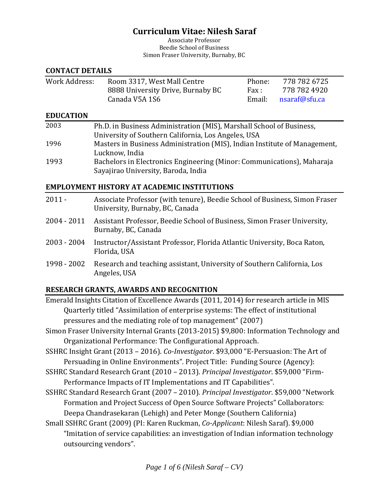# **Curriculum Vitae: Nilesh Saraf**

Associate Professor Beedie School of Business Simon Fraser University, Burnaby, BC

#### **CONTACT DETAILS**

| Work Address: | Room 3317, West Mall Centre       | Phone: | 778 782 6725         |
|---------------|-----------------------------------|--------|----------------------|
|               | 8888 University Drive, Burnaby BC | Fax :  | 778 782 4920         |
|               | Canada V5A 1S6                    |        | Email: nsaraf@sfu.ca |

#### **EDUCATION**

| 2003 | Ph.D. in Business Administration (MIS), Marshall School of Business,      |
|------|---------------------------------------------------------------------------|
|      | University of Southern California, Los Angeles, USA                       |
| 1996 | Masters in Business Administration (MIS), Indian Institute of Management, |
|      | Lucknow, India                                                            |
| 1993 | Bachelors in Electronics Engineering (Minor: Communications), Maharaja    |
|      | Sayajirao University, Baroda, India                                       |

#### **EMPLOYMENT HISTORY AT ACADEMIC INSTITUTIONS**

| $2011 -$    | Associate Professor (with tenure), Beedie School of Business, Simon Fraser<br>University, Burnaby, BC, Canada |
|-------------|---------------------------------------------------------------------------------------------------------------|
| 2004 - 2011 | Assistant Professor, Beedie School of Business, Simon Fraser University,<br>Burnaby, BC, Canada               |
| 2003 - 2004 | Instructor/Assistant Professor, Florida Atlantic University, Boca Raton,<br>Florida, USA                      |
| 1998 - 2002 | Research and teaching assistant, University of Southern California, Los<br>Angeles, USA                       |

#### **RESEARCH GRANTS, AWARDS AND RECOGNITION**

- Emerald Insights Citation of Excellence Awards (2011, 2014) for research article in MIS Quarterly titled "Assimilation of enterprise systems: The effect of institutional pressures and the mediating role of top management" (2007)
- Simon Fraser University Internal Grants (2013-2015) \$9,800: Information Technology and Organizational Performance: The Configurational Approach.
- SSHRC Insight Grant (2013 2016). *Co-Investigator*. \$93,000 "E-Persuasion: The Art of Persuading in Online Environments". Project Title: Funding Source (Agency):
- SSHRC Standard Research Grant (2010 2013). *Principal Investigator*. \$59,000 "Firm-Performance Impacts of IT Implementations and IT Capabilities".
- SSHRC Standard Research Grant (2007 2010). *Principal Investigator*. \$59,000 "Network Formation and Project Success of Open Source Software Projects" Collaborators: Deepa Chandrasekaran (Lehigh) and Peter Monge (Southern California)
- Small SSHRC Grant (2009) (PI: Karen Ruckman, *Co-Applicant*: Nilesh Saraf). \$9,000 "Imitation of service capabilities: an investigation of Indian information technology outsourcing vendors".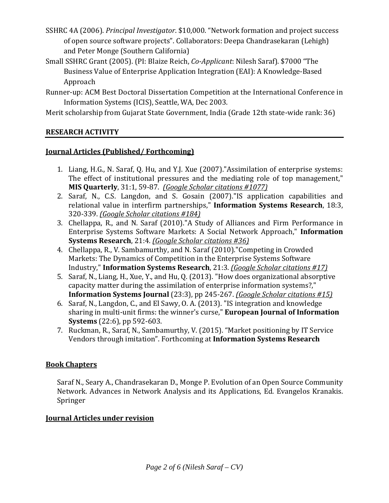- SSHRC 4A (2006). *Principal Investigator*. \$10,000. "Network formation and project success of open source software projects". Collaborators: Deepa Chandrasekaran (Lehigh) and Peter Monge (Southern California)
- Small SSHRC Grant (2005). (PI: Blaize Reich, *Co-Applicant*: Nilesh Saraf). \$7000 "The Business Value of Enterprise Application Integration (EAI): A Knowledge-Based Approach
- Runner-up: ACM Best Doctoral Dissertation Competition at the International Conference in Information Systems (ICIS), Seattle, WA, Dec 2003.

Merit scholarship from Gujarat State Government, India (Grade 12th state-wide rank: 36)

# **RESEARCH ACTIVITY**

# **Journal Articles (Published/ Forthcoming)**

- 1. Liang, H.G., N. Saraf, Q. Hu, and Y.J. Xue (2007)."Assimilation of enterprise systems: The effect of institutional pressures and the mediating role of top management," **MIS Quarterly**, 31:1, 59-87. *(Google Scholar citations #1077)*
- 2. Saraf, N., C.S. Langdon, and S. Gosain (2007)."IS application capabilities and relational value in interfirm partnerships," **Information Systems Research**, 18:3, 320-339. *(Google Scholar citations #184)*
- 3. Chellappa, R., and N. Saraf (2010)."A Study of Alliances and Firm Performance in Enterprise Systems Software Markets: A Social Network Approach," **Information Systems Research**, 21:4. *(Google Scholar citations #36)*
- 4. Chellappa, R., V. Sambamurthy, and N. Saraf (2010)."Competing in Crowded Markets: The Dynamics of Competition in the Enterprise Systems Software Industry," **Information Systems Research**, 21:3. *(Google Scholar citations #17)*
- 5. Saraf, N., Liang, H., Xue, Y., and Hu, Q. (2013). "How does organizational absorptive capacity matter during the assimilation of enterprise information systems?," **Information Systems Journal** (23:3), pp 245-267. *(Google Scholar citations #15)*
- 6. Saraf, N., Langdon, C., and El Sawy, O. A. (2013). "IS integration and knowledge sharing in multi-unit firms: the winner's curse," **European Journal of Information Systems** (22:6), pp 592-603.
- 7. Ruckman, R., Saraf, N., Sambamurthy, V. (2015). "Market positioning by IT Service Vendors through imitation". Forthcoming at **Information Systems Research**

## **Book Chapters**

Saraf N., Seary A., Chandrasekaran D., Monge P. Evolution of an Open Source Community Network. Advances in Network Analysis and its Applications, Ed. Evangelos Kranakis. Springer

## **Journal Articles under revision**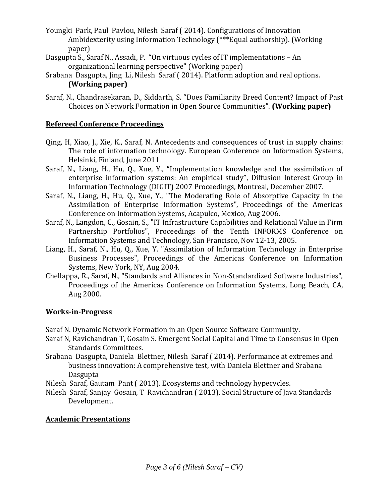- Youngki Park, Paul Pavlou, Nilesh Saraf ( 2014). Configurations of Innovation Ambidexterity using Information Technology (\*\*\*Equal authorship). (Working paper)
- Dasgupta S., Saraf N., Assadi, P. "On virtuous cycles of IT implementations An organizational learning perspective" (Working paper)
- Srabana Dasgupta, Jing Li, Nilesh Saraf ( 2014). Platform adoption and real options. **(Working paper)**
- Saraf, N., Chandrasekaran, D., Siddarth, S. "Does Familiarity Breed Content? Impact of Past Choices on Network Formation in Open Source Communities". **(Working paper)**

#### **Refereed Conference Proceedings**

- Qing, H, Xiao, J., Xie, K., Saraf, N. Antecedents and consequences of trust in supply chains: The role of information technology. European Conference on Information Systems, Helsinki, Finland, June 2011
- Saraf, N., Liang, H., Hu, Q., Xue, Y., "Implementation knowledge and the assimilation of enterprise information systems: An empirical study", Diffusion Interest Group in Information Technology (DIGIT) 2007 Proceedings, Montreal, December 2007.
- Saraf, N., Liang, H., Hu, Q., Xue, Y., "The Moderating Role of Absorptive Capacity in the Assimilation of Enterprise Information Systems", Proceedings of the Americas Conference on Information Systems, Acapulco, Mexico, Aug 2006.
- Saraf, N., Langdon, C., Gosain, S., "IT Infrastructure Capabilities and Relational Value in Firm Partnership Portfolios", Proceedings of the Tenth INFORMS Conference on Information Systems and Technology, San Francisco, Nov 12-13, 2005.
- Liang, H., Saraf, N., Hu, Q., Xue, Y. "Assimilation of Information Technology in Enterprise Business Processes", Proceedings of the Americas Conference on Information Systems, New York, NY, Aug 2004.
- Chellappa, R., Saraf, N., "Standards and Alliances in Non-Standardized Software Industries", Proceedings of the Americas Conference on Information Systems, Long Beach, CA, Aug 2000.

#### **Works-in-Progress**

Saraf N. Dynamic Network Formation in an Open Source Software Community.

- Saraf N, Ravichandran T, Gosain S. Emergent Social Capital and Time to Consensus in Open Standards Committees.
- Srabana Dasgupta, Daniela Blettner, Nilesh Saraf ( 2014). Performance at extremes and business innovation: A comprehensive test, with Daniela Blettner and Srabana Dasgupta
- Nilesh Saraf, Gautam Pant ( 2013). Ecosystems and technology hypecycles.
- Nilesh Saraf, Sanjay Gosain, T Ravichandran ( 2013). Social Structure of Java Standards Development.

## **Academic Presentations**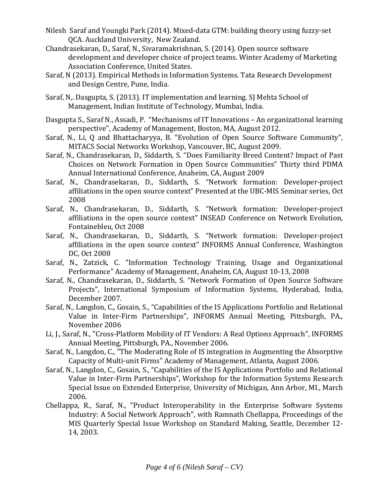- Nilesh Saraf and Youngki Park (2014). Mixed-data GTM: building theory using fuzzy-set QCA. Auckland University, New Zealand.
- Chandrasekaran, D., Saraf, N., Sivaramakrishnan, S. (2014). Open source software development and developer choice of project teams. Winter Academy of Marketing Association Conference, United States.
- Saraf, N (2013). Empirical Methods in Information Systems. Tata Research Development and Design Centre, Pune, India.
- Saraf, N,. Dasgupta, S. (2013). IT implementation and learning. SJ Mehta School of Management, Indian Institute of Technology, Mumbai, India.
- Dasgupta S., Saraf N., Assadi, P. "Mechanisms of IT Innovations An organizational learning perspective", Academy of Management, Boston, MA, August 2012.
- Saraf, N., Li, Q and Bhattacharyya, B. "Evolution of Open Source Software Community", MITACS Social Networks Workshop, Vancouver, BC, August 2009.
- Saraf, N., Chandrasekaran, D., Siddarth, S. "Does Familiarity Breed Content? Impact of Past Choices on Network Formation in Open Source Communities" Thirty third PDMA Annual International Conference, Anaheim, CA, August 2009
- Saraf, N., Chandrasekaran, D., Siddarth, S. "Network formation: Developer-project affiliations in the open source context" Presented at the UBC-MIS Seminar series, Oct 2008
- Saraf, N., Chandrasekaran, D., Siddarth, S. "Network formation: Developer-project affiliations in the open source context" INSEAD Conference on Network Evolution, Fontainebleu, Oct 2008
- Saraf, N., Chandrasekaran, D., Siddarth, S. "Network formation: Developer-project affiliations in the open source context" INFORMS Annual Conference, Washington DC, Oct 2008
- Saraf, N., Zatzick, C. "Information Technology Training, Usage and Organizational Performance" Academy of Management, Anaheim, CA, August 10-13, 2008
- Saraf, N., Chandrasekaran, D., Siddarth, S. "Network Formation of Open Source Software Projects", International Symposium of Information Systems, Hyderabad, India, December 2007.
- Saraf, N., Langdon, C., Gosain, S., "Capabilities of the IS Applications Portfolio and Relational Value in Inter-Firm Partnerships", INFORMS Annual Meeting, Pittsburgh, PA., November 2006
- Li, J., Saraf, N., "Cross-Platform Mobility of IT Vendors: A Real Options Approach", INFORMS Annual Meeting, Pittsburgh, PA., November 2006.
- Saraf, N., Langdon, C., "The Moderating Role of IS integration in Augmenting the Absorptive Capacity of Multi-unit Firms" Academy of Management, Atlanta, August 2006.
- Saraf, N., Langdon, C., Gosain, S., "Capabilities of the IS Applications Portfolio and Relational Value in Inter-Firm Partnerships", Workshop for the Information Systems Research Special Issue on Extended Enterprise, University of Michigan, Ann Arbor, MI., March 2006.
- Chellappa, R., Saraf, N., "Product Interoperability in the Enterprise Software Systems Industry: A Social Network Approach", with Ramnath Chellappa, Proceedings of the MIS Quarterly Special Issue Workshop on Standard Making, Seattle, December 12- 14, 2003.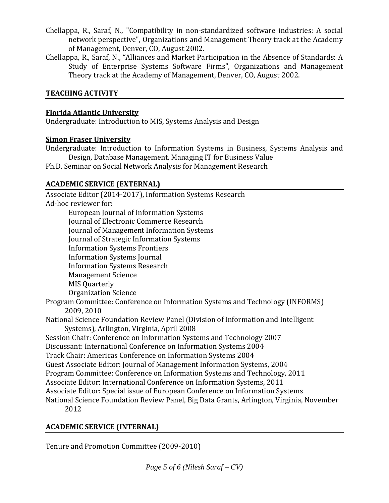- Chellappa, R., Saraf, N., "Compatibility in non-standardized software industries: A social network perspective", Organizations and Management Theory track at the Academy of Management, Denver, CO, August 2002.
- Chellappa, R., Saraf, N., "Alliances and Market Participation in the Absence of Standards: A Study of Enterprise Systems Software Firms", Organizations and Management Theory track at the Academy of Management, Denver, CO, August 2002.

## **TEACHING ACTIVITY**

#### **Florida Atlantic University**

Undergraduate: Introduction to MIS, Systems Analysis and Design

#### **Simon Fraser University**

Undergraduate: Introduction to Information Systems in Business, Systems Analysis and Design, Database Management, Managing IT for Business Value

Ph.D. Seminar on Social Network Analysis for Management Research

# **ACADEMIC SERVICE (EXTERNAL)**

Associate Editor (2014-2017), Information Systems Research Ad-hoc reviewer for: European Journal of Information Systems

Journal of Electronic Commerce Research Journal of Management Information Systems Journal of Strategic Information Systems Information Systems Frontiers Information Systems Journal Information Systems Research Management Science MIS Quarterly Organization Science

- Program Committee: Conference on Information Systems and Technology (INFORMS) 2009, 2010
- National Science Foundation Review Panel (Division of Information and Intelligent Systems), Arlington, Virginia, April 2008

Session Chair: Conference on Information Systems and Technology 2007

Discussant: International Conference on Information Systems 2004

Track Chair: Americas Conference on Information Systems 2004

Guest Associate Editor: Journal of Management Information Systems, 2004

Program Committee: Conference on Information Systems and Technology, 2011

Associate Editor: International Conference on Information Systems, 2011

Associate Editor: Special issue of European Conference on Information Systems

National Science Foundation Review Panel, Big Data Grants, Arlington, Virginia, November 2012

## **ACADEMIC SERVICE (INTERNAL)**

Tenure and Promotion Committee (2009-2010)